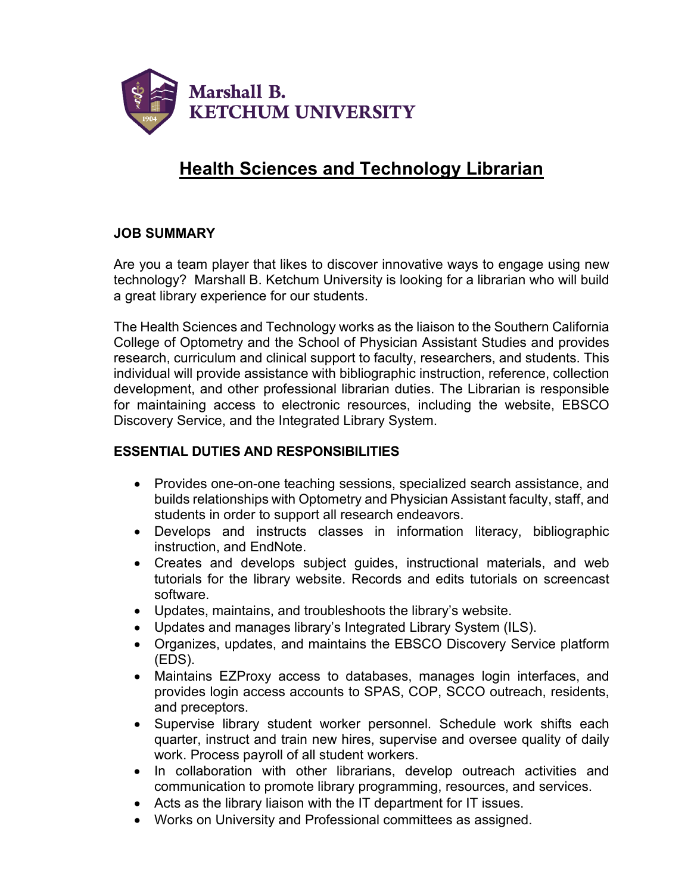

# **Health Sciences and Technology Librarian**

## **JOB SUMMARY**

Are you a team player that likes to discover innovative ways to engage using new technology? Marshall B. Ketchum University is looking for a librarian who will build a great library experience for our students.

The Health Sciences and Technology works as the liaison to the Southern California College of Optometry and the School of Physician Assistant Studies and provides research, curriculum and clinical support to faculty, researchers, and students. This individual will provide assistance with bibliographic instruction, reference, collection development, and other professional librarian duties. The Librarian is responsible for maintaining access to electronic resources, including the website, EBSCO Discovery Service, and the Integrated Library System.

## **ESSENTIAL DUTIES AND RESPONSIBILITIES**

- Provides one-on-one teaching sessions, specialized search assistance, and builds relationships with Optometry and Physician Assistant faculty, staff, and students in order to support all research endeavors.
- Develops and instructs classes in information literacy, bibliographic instruction, and EndNote.
- Creates and develops subject guides, instructional materials, and web tutorials for the library website. Records and edits tutorials on screencast software.
- Updates, maintains, and troubleshoots the library's website.
- Updates and manages library's Integrated Library System (ILS).
- Organizes, updates, and maintains the EBSCO Discovery Service platform (EDS).
- Maintains EZProxy access to databases, manages login interfaces, and provides login access accounts to SPAS, COP, SCCO outreach, residents, and preceptors.
- Supervise library student worker personnel. Schedule work shifts each quarter, instruct and train new hires, supervise and oversee quality of daily work. Process payroll of all student workers.
- In collaboration with other librarians, develop outreach activities and communication to promote library programming, resources, and services.
- Acts as the library liaison with the IT department for IT issues.
- Works on University and Professional committees as assigned.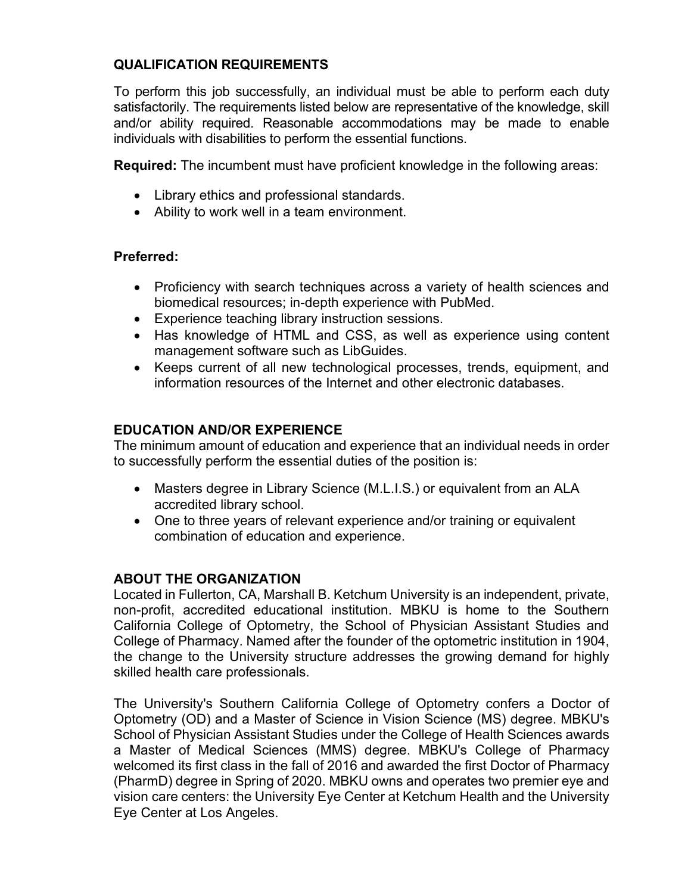## **QUALIFICATION REQUIREMENTS**

To perform this job successfully, an individual must be able to perform each duty satisfactorily. The requirements listed below are representative of the knowledge, skill and/or ability required. Reasonable accommodations may be made to enable individuals with disabilities to perform the essential functions.

**Required:** The incumbent must have proficient knowledge in the following areas:

- Library ethics and professional standards.
- Ability to work well in a team environment.

## **Preferred:**

- Proficiency with search techniques across a variety of health sciences and biomedical resources; in-depth experience with PubMed.
- Experience teaching library instruction sessions.
- Has knowledge of HTML and CSS, as well as experience using content management software such as LibGuides.
- Keeps current of all new technological processes, trends, equipment, and information resources of the Internet and other electronic databases.

#### **EDUCATION AND/OR EXPERIENCE**

The minimum amount of education and experience that an individual needs in order to successfully perform the essential duties of the position is:

- Masters degree in Library Science (M.L.I.S.) or equivalent from an ALA accredited library school.
- One to three years of relevant experience and/or training or equivalent combination of education and experience.

#### **ABOUT THE ORGANIZATION**

Located in Fullerton, CA, Marshall B. Ketchum University is an independent, private, non-profit, accredited educational institution. MBKU is home to the Southern California College of Optometry, the School of Physician Assistant Studies and College of Pharmacy. Named after the founder of the optometric institution in 1904, the change to the University structure addresses the growing demand for highly skilled health care professionals.

The University's Southern California College of Optometry confers a Doctor of Optometry (OD) and a Master of Science in Vision Science (MS) degree. MBKU's School of Physician Assistant Studies under the College of Health Sciences awards a Master of Medical Sciences (MMS) degree. MBKU's College of Pharmacy welcomed its first class in the fall of 2016 and awarded the first Doctor of Pharmacy (PharmD) degree in Spring of 2020. MBKU owns and operates two premier eye and vision care centers: the University Eye Center at Ketchum Health and the University Eye Center at Los Angeles.